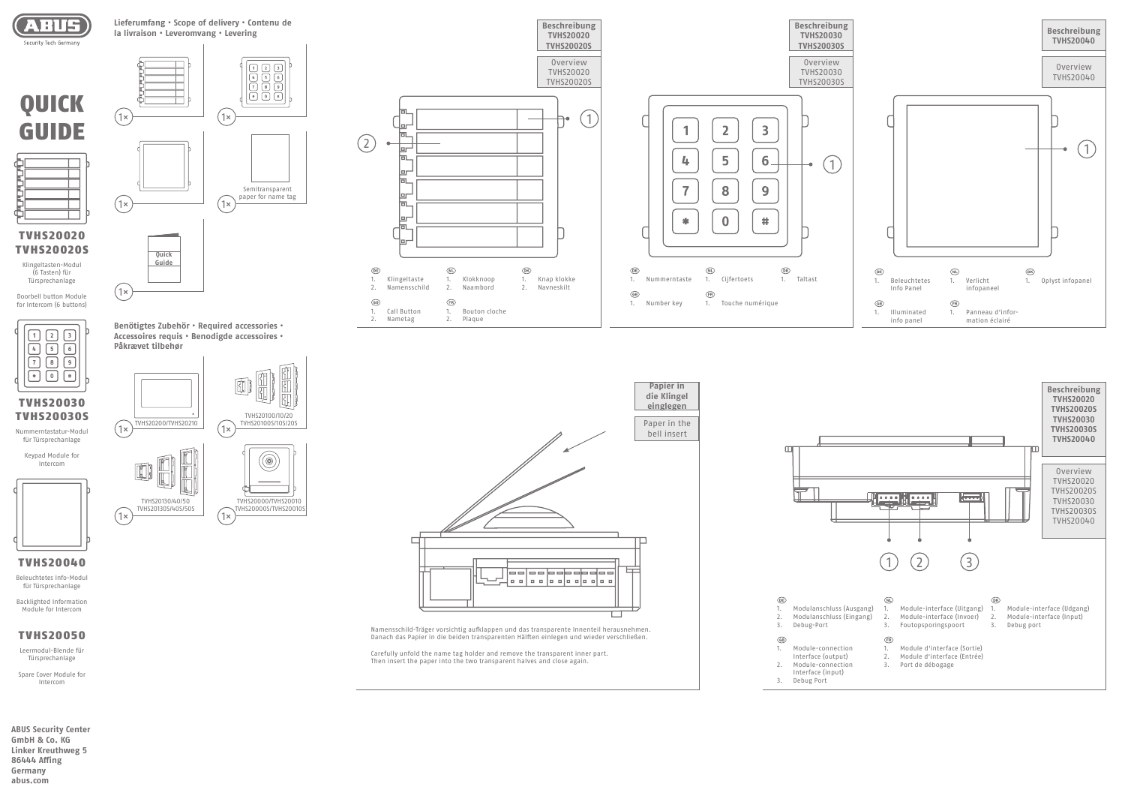

QUICK

GUIDE

**ABUS Security Center GmbH & Co. KG Linker Kreuthweg 5 86444 Affing Germany abus.com**



Klingeltasten-Modul (6 Tasten) für Türsprechanlage

Doorbell button Module for Intercom (6 buttons)



TVHS20030 TVHS20030S

Nummerntastatur-Modul für Türsprechanlage

> Keypad Module for Intercom



TVHS20130S/40S/50S

1× ) (1×



1×) TVHS20200/TVHS20210 (1×) TVHS20100S/10S/20S

TVHS20130/40/50 TVHS20000/TVHS2001

TVHS20000S/TVHS2001

TVHS20100/10/20<br>TVHS20100S/10S/209

(⊚)

 $\mathbf{C}$ 

**Benötigtes Zubehör • Required accessories • Accessoires requis • Benodigde accessoires •** 

**Påkrævet tilbehør**

 $(1\times$ 

**Lieferumfang • Scope of delivery • Contenu de la livraison • Leveromvang • Levering**

| $\circledR$<br>1.<br>$\overline{2}$ .<br>3. | Modulanschluss (Aus<br>Modulanschluss (Ein<br>Debug-Port                                        |
|---------------------------------------------|-------------------------------------------------------------------------------------------------|
| $\circledcirc$<br>1.<br>2.<br>3.            | Module-connection<br>Interface (output)<br>Module-connection<br>Interface (input)<br>Debug Port |
|                                             |                                                                                                 |



## TVHS20040

Beleuchtetes Info-Modul für Türsprechanlage

Backlighted Information Module for Intercom

# TVHS20050

Leermodul-Blende für Türsprechanlage

Spare Cover Module for Intercom







**Beschreibung** 



Namensschild-Träger vorsichtig aufklappen und das transparente Innenteil herausnehmen. Danach das Papier in die beiden transparenten Hälften einlegen und wieder verschließen.

Carefully unfold the name tag holder and remove the transparent inner part. Then insert the paper into the two transparent halves and close again.